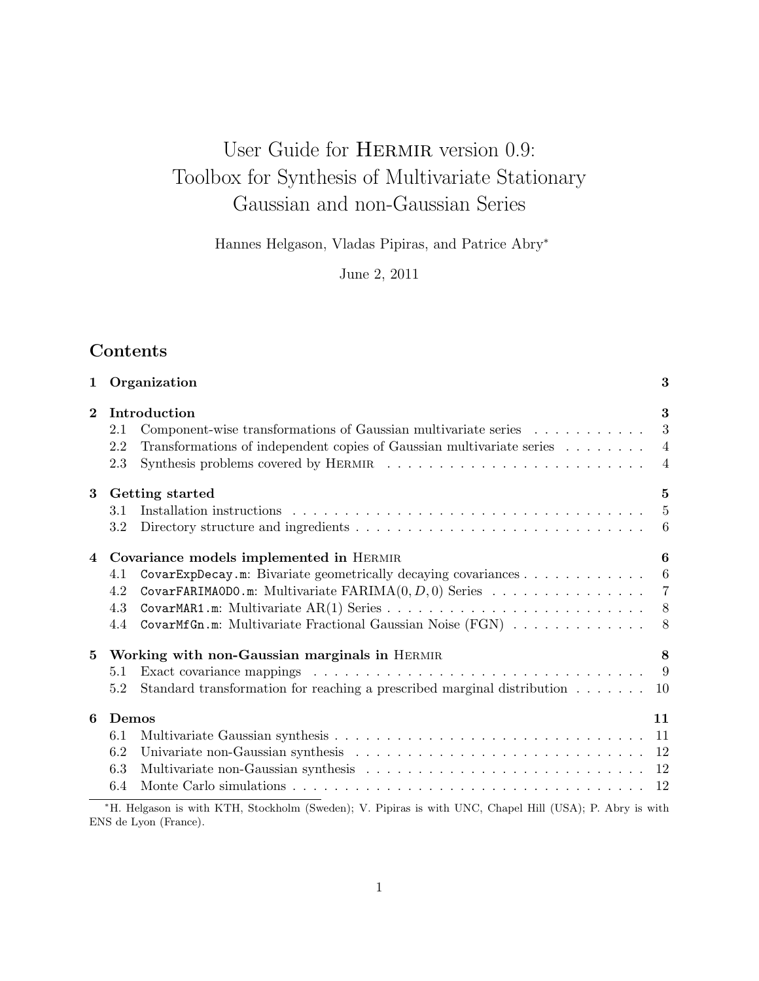# User Guide for HERMIR version 0.9: Toolbox for Synthesis of Multivariate Stationary Gaussian and non-Gaussian Series

Hannes Helgason, Vladas Pipiras, and Patrice Abry<sup>∗</sup>

June 2, 2011

# Contents

| 1            | Organization<br>3                                                                                        |                |  |  |
|--------------|----------------------------------------------------------------------------------------------------------|----------------|--|--|
| $\mathbf{2}$ | Introduction                                                                                             | 3              |  |  |
|              | Component-wise transformations of Gaussian multivariate series<br>2.1                                    | 3              |  |  |
|              | Transformations of independent copies of Gaussian multivariate series<br>2.2                             | $\overline{4}$ |  |  |
|              | 2.3                                                                                                      | $\overline{4}$ |  |  |
| 3            | Getting started                                                                                          | $\bf{5}$       |  |  |
|              | 3.1                                                                                                      | $\overline{5}$ |  |  |
|              | 3.2                                                                                                      | 6              |  |  |
| 4            | Covariance models implemented in HERMIR                                                                  | 6              |  |  |
|              | CovarExpDecay.m: Bivariate geometrically decaying covariances<br>4.1                                     | 6              |  |  |
|              | CovarFARIMAODO.m: Multivariate $FARIMA(0, D, 0)$ Series<br>4.2                                           | $\overline{7}$ |  |  |
|              | 4.3                                                                                                      | 8              |  |  |
|              | CovarMfGn.m: Multivariate Fractional Gaussian Noise (FGN)<br>4.4                                         | 8              |  |  |
| 5            | Working with non-Gaussian marginals in HERMIR                                                            | 8              |  |  |
|              | 5.1                                                                                                      | 9              |  |  |
|              | Standard transformation for reaching a prescribed marginal distribution $\dots \dots$<br>5.2             | 10             |  |  |
| 6            | Demos                                                                                                    | 11             |  |  |
|              | 6.1                                                                                                      | 11             |  |  |
|              | 6.2                                                                                                      | 12             |  |  |
|              | 6.3                                                                                                      | 12             |  |  |
|              | 6.4                                                                                                      | 12             |  |  |
|              | *H. Helgason is with KTH, Stockholm (Sweden); V. Pipiras is with UNC, Chapel Hill (USA); P. Abry is with |                |  |  |

ENS de Lyon (France).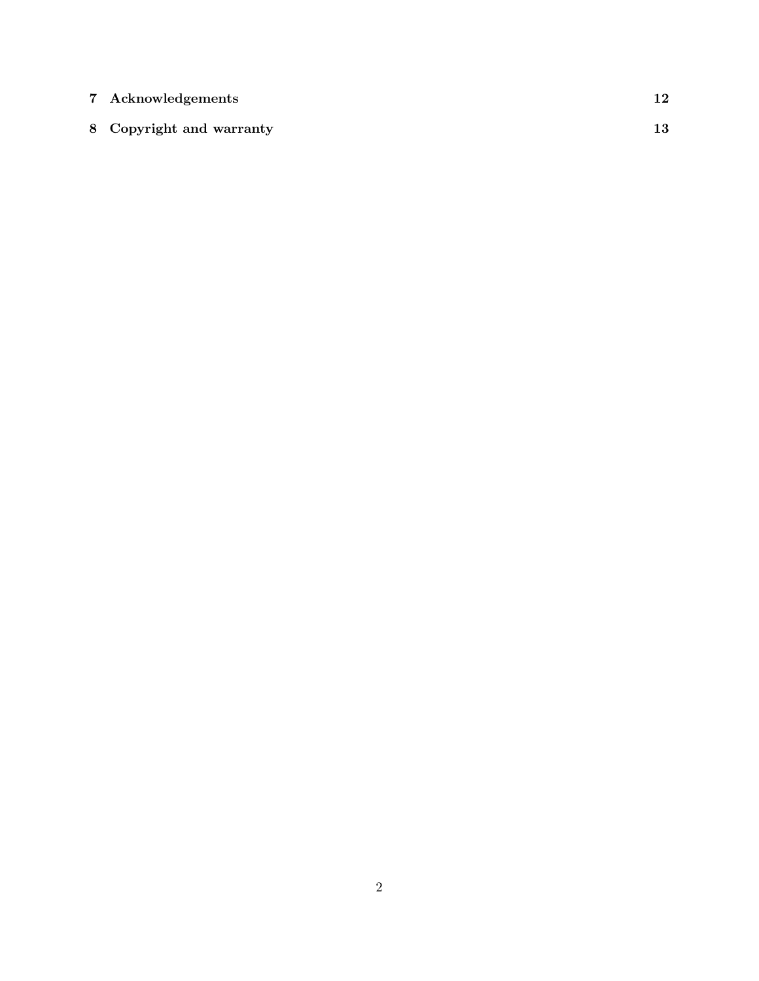| 7 Acknowledgements       | 12 |
|--------------------------|----|
| 8 Copyright and warranty | 13 |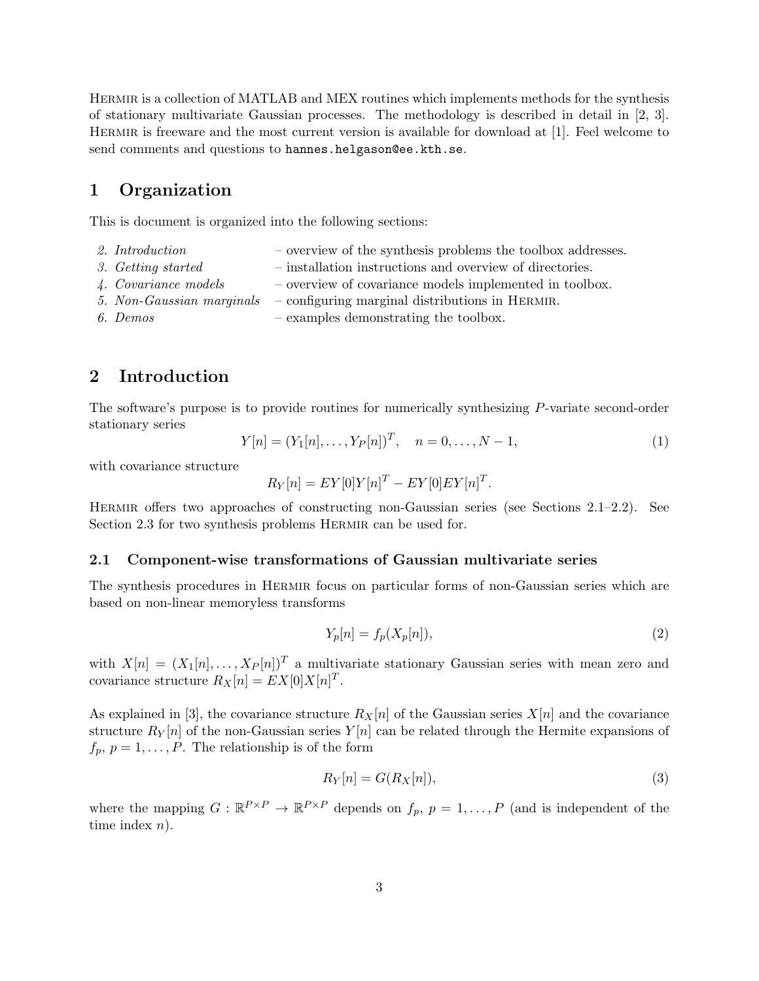Hermir is a collection of MATLAB and MEX routines which implements methods for the synthesis of stationary multivariate Gaussian processes. The methodology is described in detail in [2, 3]. Hermir is freeware and the most current version is available for download at [1]. Feel welcome to send comments and questions to hannes.helgason@ee.kth.se.

# 1 Organization

This is document is organized into the following sections:

- 2. Introduction  $\blacksquare$  overview of the synthesis problems the toolbox addresses.
- 3. Getting started installation instructions and overview of directories.
- 4. Covariance models overview of covariance models implemented in toolbox.
- 5. Non-Gaussian marginals configuring marginal distributions in HERMIR.
- 6. Demos examples demonstrating the toolbox.

# 2 Introduction

The software's purpose is to provide routines for numerically synthesizing P-variate second-order stationary series

$$
Y[n] = (Y_1[n], \dots, Y_P[n])^T, \quad n = 0, \dots, N-1,
$$
\n(1)

with covariance structure

$$
R_Y[n] = EY[0]Y[n]^T - EY[0]EY[n]^T.
$$

Hermir offers two approaches of constructing non-Gaussian series (see Sections 2.1–2.2). See Section 2.3 for two synthesis problems HERMIR can be used for.

#### 2.1 Component-wise transformations of Gaussian multivariate series

The synthesis procedures in HERMIR focus on particular forms of non-Gaussian series which are based on non-linear memoryless transforms

$$
Y_p[n] = f_p(X_p[n]),\tag{2}
$$

with  $X[n] = (X_1[n], \ldots, X_p[n])^T$  a multivariate stationary Gaussian series with mean zero and covariance structure  $R_X[n] = EX[0]X[n]^T$ .

As explained in [3], the covariance structure  $R_X[n]$  of the Gaussian series  $X[n]$  and the covariance structure  $R_Y[n]$  of the non-Gaussian series  $Y[n]$  can be related through the Hermite expansions of  $f_p, p = 1, \ldots, P$ . The relationship is of the form

$$
R_Y[n] = G(R_X[n]),\tag{3}
$$

where the mapping  $G: \mathbb{R}^{P \times P} \to \mathbb{R}^{P \times P}$  depends on  $f_p$ ,  $p = 1, \ldots, P$  (and is independent of the time index  $n$ ).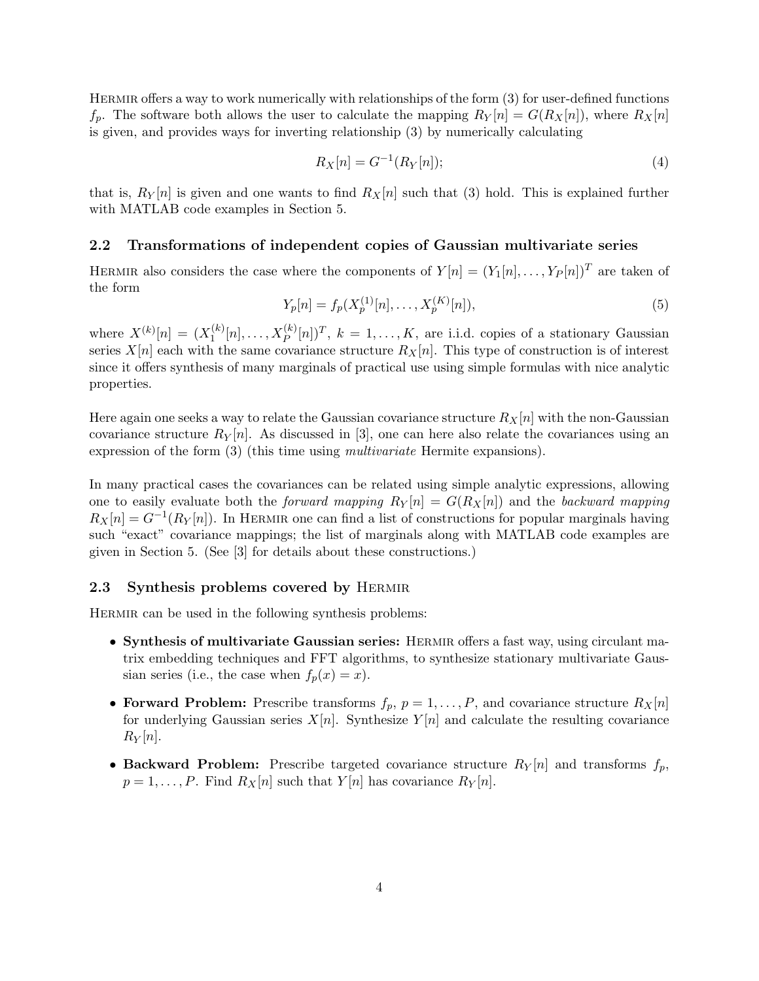Hermir offers a way to work numerically with relationships of the form (3) for user-defined functions  $f_p$ . The software both allows the user to calculate the mapping  $R_Y[n] = G(R_X[n])$ , where  $R_X[n]$ is given, and provides ways for inverting relationship (3) by numerically calculating

$$
R_X[n] = G^{-1}(R_Y[n]);
$$
\n(4)

that is,  $R_Y[n]$  is given and one wants to find  $R_X[n]$  such that (3) hold. This is explained further with MATLAB code examples in Section 5.

#### 2.2 Transformations of independent copies of Gaussian multivariate series

HERMIR also considers the case where the components of  $Y[n] = (Y_1[n], \ldots, Y_P[n])^T$  are taken of the form

$$
Y_p[n] = f_p(X_p^{(1)}[n], \dots, X_p^{(K)}[n]),\tag{5}
$$

where  $X^{(k)}[n] = (X_1^{(k)}$  $I_1^{(k)}[n], \ldots, X_P^{(k)}[n])^T$ ,  $k = 1, \ldots, K$ , are i.i.d. copies of a stationary Gaussian series  $X[n]$  each with the same covariance structure  $R_X[n]$ . This type of construction is of interest since it offers synthesis of many marginals of practical use using simple formulas with nice analytic properties.

Here again one seeks a way to relate the Gaussian covariance structure  $R_X[n]$  with the non-Gaussian covariance structure  $R_Y[n]$ . As discussed in [3], one can here also relate the covariances using an expression of the form (3) (this time using multivariate Hermite expansions).

In many practical cases the covariances can be related using simple analytic expressions, allowing one to easily evaluate both the *forward mapping*  $R_Y[n] = G(R_X[n])$  and the *backward mapping*  $R_X[n] = G^{-1}(R_Y[n])$ . In HERMIR one can find a list of constructions for popular marginals having such "exact" covariance mappings; the list of marginals along with MATLAB code examples are given in Section 5. (See [3] for details about these constructions.)

#### 2.3 Synthesis problems covered by Hermir

HERMIR can be used in the following synthesis problems:

- Synthesis of multivariate Gaussian series: HERMIR offers a fast way, using circulant matrix embedding techniques and FFT algorithms, to synthesize stationary multivariate Gaussian series (i.e., the case when  $f_p(x) = x$ ).
- Forward Problem: Prescribe transforms  $f_p$ ,  $p = 1, \ldots, P$ , and covariance structure  $R_X[n]$ for underlying Gaussian series  $X[n]$ . Synthesize  $Y[n]$  and calculate the resulting covariance  $R_Y[n]$ .
- Backward Problem: Prescribe targeted covariance structure  $R_Y[n]$  and transforms  $f_p$ ,  $p = 1, \ldots, P$ . Find  $R_X[n]$  such that  $Y[n]$  has covariance  $R_Y[n]$ .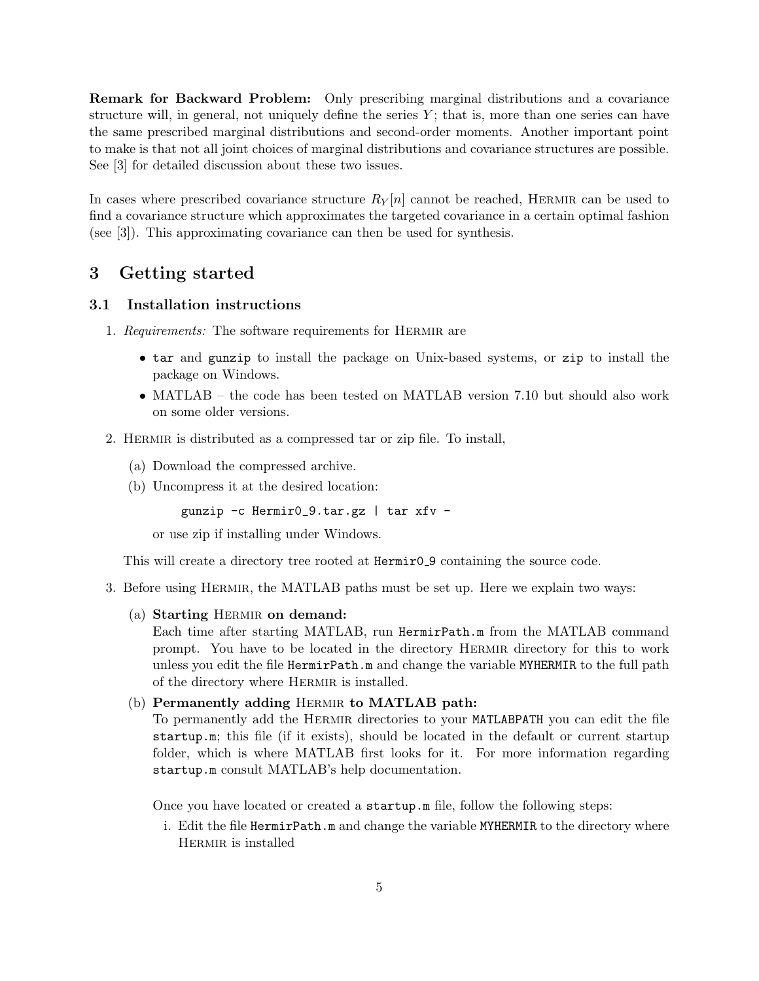Remark for Backward Problem: Only prescribing marginal distributions and a covariance structure will, in general, not uniquely define the series  $Y$ ; that is, more than one series can have the same prescribed marginal distributions and second-order moments. Another important point to make is that not all joint choices of marginal distributions and covariance structures are possible. See [3] for detailed discussion about these two issues.

In cases where prescribed covariance structure  $R_Y[n]$  cannot be reached, HERMIR can be used to find a covariance structure which approximates the targeted covariance in a certain optimal fashion (see [3]). This approximating covariance can then be used for synthesis.

## 3 Getting started

#### 3.1 Installation instructions

- 1. Requirements: The software requirements for HERMIR are
	- tar and gunzip to install the package on Unix-based systems, or zip to install the package on Windows.
	- MATLAB the code has been tested on MATLAB version 7.10 but should also work on some older versions.
- 2. Hermir is distributed as a compressed tar or zip file. To install,
	- (a) Download the compressed archive.
	- (b) Uncompress it at the desired location:

gunzip -c Hermir0\_9.tar.gz | tar xfv -

or use zip if installing under Windows.

This will create a directory tree rooted at  $\text{Hermir0-9}$  containing the source code.

- 3. Before using Hermir, the MATLAB paths must be set up. Here we explain two ways:
	- (a) Starting HERMIR on demand:

Each time after starting MATLAB, run HermirPath.m from the MATLAB command prompt. You have to be located in the directory Hermir directory for this to work unless you edit the file HermirPath.m and change the variable MYHERMIR to the full path of the directory where Hermir is installed.

#### (b) Permanently adding HERMIR to MATLAB path:

To permanently add the Hermir directories to your MATLABPATH you can edit the file startup.m; this file (if it exists), should be located in the default or current startup folder, which is where MATLAB first looks for it. For more information regarding startup.m consult MATLAB's help documentation.

Once you have located or created a startup.m file, follow the following steps:

i. Edit the file HermirPath.m and change the variable MYHERMIR to the directory where Hermir is installed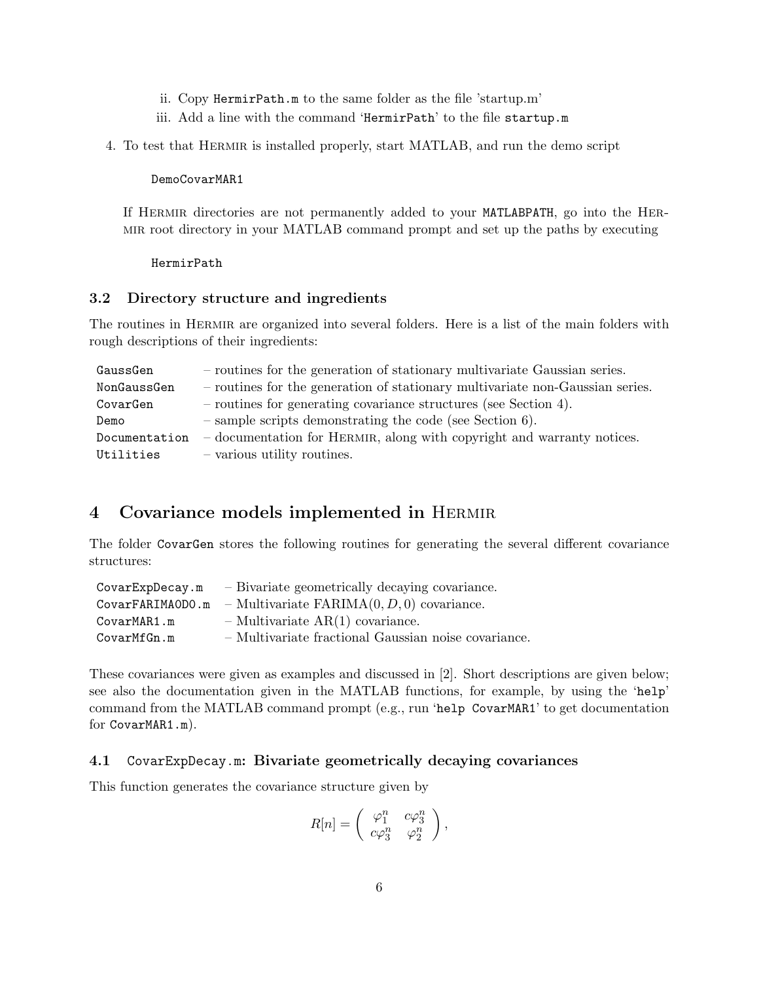- ii. Copy HermirPath.m to the same folder as the file 'startup.m'
- iii. Add a line with the command 'HermirPath' to the file startup.m
- 4. To test that Hermir is installed properly, start MATLAB, and run the demo script

DemoCovarMAR1

If HERMIR directories are not permanently added to your MATLABPATH, go into the HERmir root directory in your MATLAB command prompt and set up the paths by executing

HermirPath

#### 3.2 Directory structure and ingredients

The routines in HERMIR are organized into several folders. Here is a list of the main folders with rough descriptions of their ingredients:

| GaussGen      | - routines for the generation of stationary multivariate Gaussian series.     |
|---------------|-------------------------------------------------------------------------------|
| NonGaussGen   | - routines for the generation of stationary multivariate non-Gaussian series. |
| CovarGen      | $-$ routines for generating covariance structures (see Section 4).            |
| Demo          | $-$ sample scripts demonstrating the code (see Section 6).                    |
| Documentation | - documentation for HERMIR, along with copyright and warranty notices.        |
| Utilities     | $\sim$ various utility routines.                                              |

# 4 Covariance models implemented in Hermir

The folder CovarGen stores the following routines for generating the several different covariance structures:

| CovarExpDecay.m  | - Bivariate geometrically decaying covariance.       |
|------------------|------------------------------------------------------|
| CovarFARIMAODO.m | - Multivariate $FARIMA(0, D, 0)$ covariance.         |
| CovarMAR1.m      | $-$ Multivariate AR(1) covariance.                   |
| CovarMfGn.m      | - Multivariate fractional Gaussian noise covariance. |

These covariances were given as examples and discussed in [2]. Short descriptions are given below; see also the documentation given in the MATLAB functions, for example, by using the 'help' command from the MATLAB command prompt (e.g., run 'help CovarMAR1' to get documentation for CovarMAR1.m).

#### 4.1 CovarExpDecay.m: Bivariate geometrically decaying covariances

This function generates the covariance structure given by

$$
R[n] = \begin{pmatrix} \varphi_1^n & c\varphi_3^n \\ c\varphi_3^n & \varphi_2^n \end{pmatrix},
$$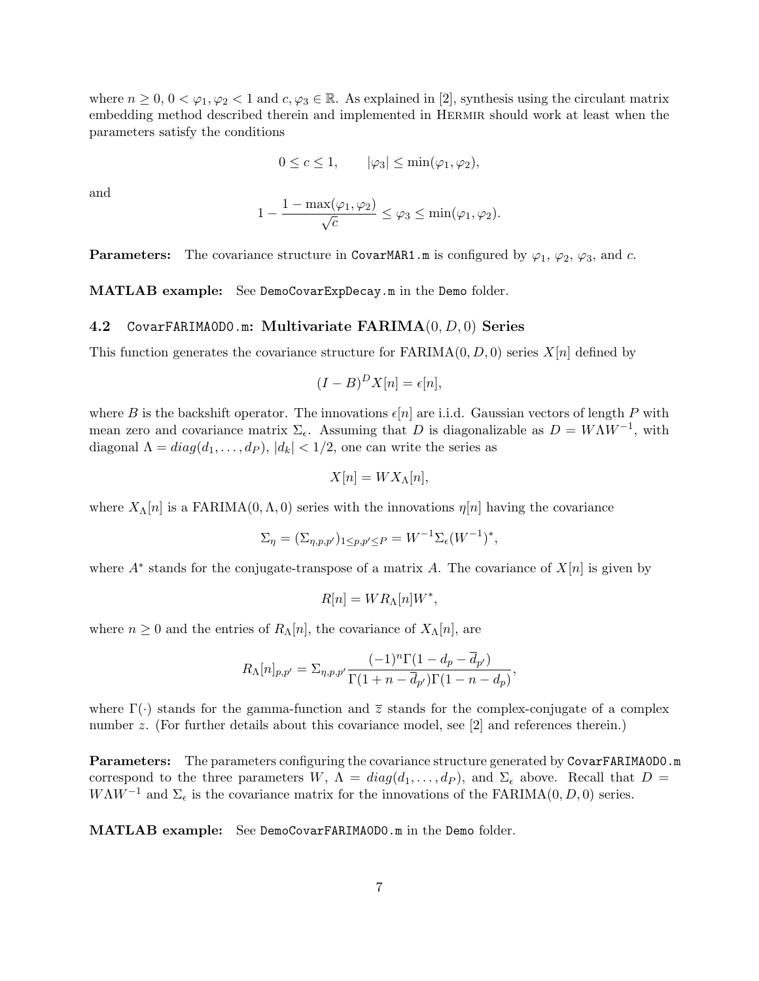where  $n \geq 0$ ,  $0 < \varphi_1, \varphi_2 < 1$  and  $c, \varphi_3 \in \mathbb{R}$ . As explained in [2], synthesis using the circulant matrix embedding method described therein and implemented in Hermir should work at least when the parameters satisfy the conditions

$$
0 \le c \le 1, \qquad |\varphi_3| \le \min(\varphi_1, \varphi_2),
$$

and

$$
1 - \frac{1 - \max(\varphi_1, \varphi_2)}{\sqrt{c}} \le \varphi_3 \le \min(\varphi_1, \varphi_2).
$$

**Parameters:** The covariance structure in CovarMAR1.m is configured by  $\varphi_1$ ,  $\varphi_2$ ,  $\varphi_3$ , and c.

MATLAB example: See DemoCovarExpDecay.m in the Demo folder.

#### 4.2 CovarFARIMAODO.m: Multivariate  $\text{FARIMA}(0, D, 0)$  Series

This function generates the covariance structure for  $FARIMA(0, D, 0)$  series  $X[n]$  defined by

$$
(I - B)^D X[n] = \epsilon[n],
$$

where B is the backshift operator. The innovations  $\epsilon[n]$  are i.i.d. Gaussian vectors of length P with mean zero and covariance matrix  $\Sigma_{\epsilon}$ . Assuming that D is diagonalizable as  $D = W\Lambda W^{-1}$ , with diagonal  $\Lambda = diag(d_1, \ldots, d_p)$ ,  $|d_k| < 1/2$ , one can write the series as

$$
X[n] = W X_{\Lambda}[n],
$$

where  $X_{\Lambda}[n]$  is a FARIMA $(0,\Lambda,0)$  series with the innovations  $\eta[n]$  having the covariance

$$
\Sigma_{\eta} = (\Sigma_{\eta, p, p'})_{1 \le p, p' \le P} = W^{-1} \Sigma_{\epsilon} (W^{-1})^*,
$$

where  $A^*$  stands for the conjugate-transpose of a matrix A. The covariance of  $X[n]$  is given by

$$
R[n] = WR_{\Lambda}[n]W^*,
$$

where  $n \geq 0$  and the entries of  $R_{\Lambda}[n]$ , the covariance of  $X_{\Lambda}[n]$ , are

$$
R_{\Lambda}[n]_{p,p'} = \Sigma_{\eta,p,p'} \frac{(-1)^n \Gamma(1 - d_p - \overline{d}_{p'})}{\Gamma(1 + n - \overline{d}_{p'}) \Gamma(1 - n - d_p)},
$$

where  $\Gamma(\cdot)$  stands for the gamma-function and  $\overline{z}$  stands for the complex-conjugate of a complex number z. (For further details about this covariance model, see [2] and references therein.)

Parameters: The parameters configuring the covariance structure generated by CovarFARIMA0D0.m correspond to the three parameters W,  $\Lambda = diag(d_1, ..., d_P)$ , and  $\Sigma_{\epsilon}$  above. Recall that  $D =$  $W\Lambda W^{-1}$  and  $\Sigma_{\epsilon}$  is the covariance matrix for the innovations of the FARIMA(0, D, 0) series.

MATLAB example: See DemoCovarFARIMA0D0.m in the Demo folder.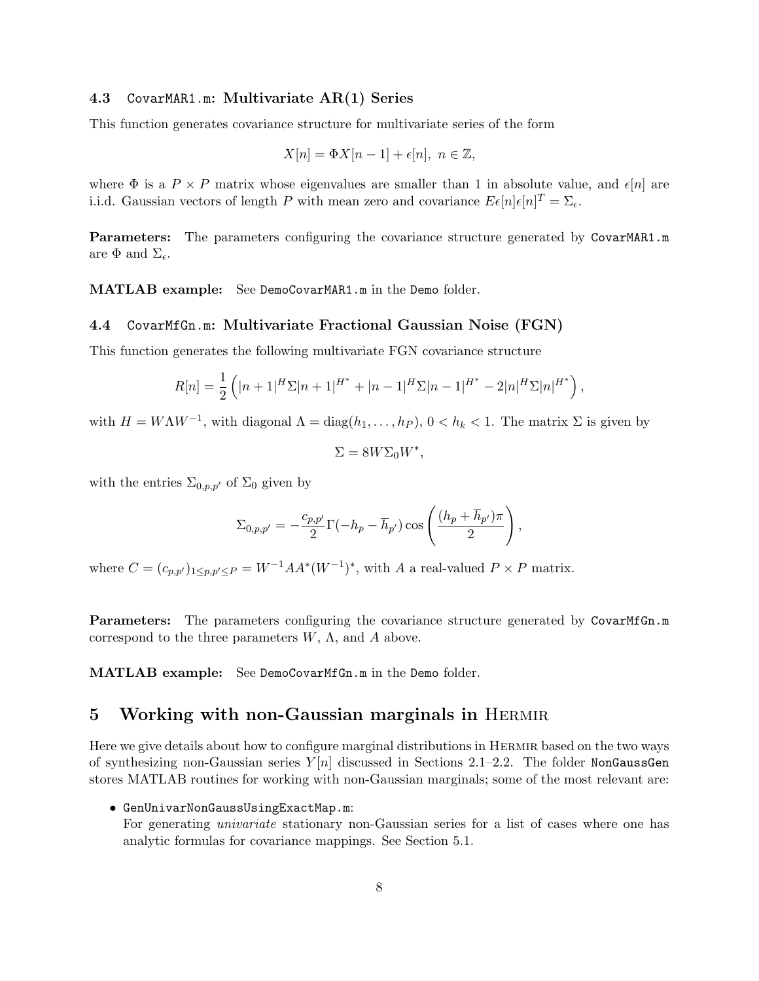#### 4.3 CovarMAR1.m: Multivariate AR(1) Series

This function generates covariance structure for multivariate series of the form

$$
X[n] = \Phi X[n-1] + \epsilon[n], \ n \in \mathbb{Z},
$$

where  $\Phi$  is a  $P \times P$  matrix whose eigenvalues are smaller than 1 in absolute value, and  $\epsilon[n]$  are i.i.d. Gaussian vectors of length P with mean zero and covariance  $E\epsilon[n]\epsilon[n]^T = \sum_{\epsilon}$ .

Parameters: The parameters configuring the covariance structure generated by CovarMAR1.m are  $\Phi$  and  $\Sigma_{\epsilon}$ .

MATLAB example: See DemoCovarMAR1.m in the Demo folder.

#### 4.4 CovarMfGn.m: Multivariate Fractional Gaussian Noise (FGN)

This function generates the following multivariate FGN covariance structure

$$
R[n] = \frac{1}{2} \left( |n+1|^H \Sigma |n+1|^{H^*} + |n-1|^H \Sigma |n-1|^{H^*} - 2|n|^H \Sigma |n|^{H^*} \right),
$$

with  $H = W\Lambda W^{-1}$ , with diagonal  $\Lambda = \text{diag}(h_1, \ldots, h_p)$ ,  $0 < h_k < 1$ . The matrix  $\Sigma$  is given by

$$
\Sigma = 8W\Sigma_0 W^*,
$$

with the entries  $\Sigma_{0,p,p'}$  of  $\Sigma_0$  given by

$$
\Sigma_{0,p,p'} = -\frac{c_{p,p'}}{2} \Gamma(-h_p - \overline{h}_{p'}) \cos\left(\frac{(h_p + \overline{h}_{p'})\pi}{2}\right),
$$

where  $C = (c_{p,p'})_{1 \leq p,p' \leq P} = W^{-1}AA^*(W^{-1})^*$ , with A a real-valued  $P \times P$  matrix.

**Parameters:** The parameters configuring the covariance structure generated by CovarMfGn.m correspond to the three parameters  $W$ ,  $\Lambda$ , and  $\Lambda$  above.

MATLAB example: See DemoCovarMfGn.m in the Demo folder.

### 5 Working with non-Gaussian marginals in Hermir

Here we give details about how to configure marginal distributions in Hermir based on the two ways of synthesizing non-Gaussian series  $Y[n]$  discussed in Sections 2.1–2.2. The folder NonGaussGen stores MATLAB routines for working with non-Gaussian marginals; some of the most relevant are:

• GenUnivarNonGaussUsingExactMap.m:

For generating *univariate* stationary non-Gaussian series for a list of cases where one has analytic formulas for covariance mappings. See Section 5.1.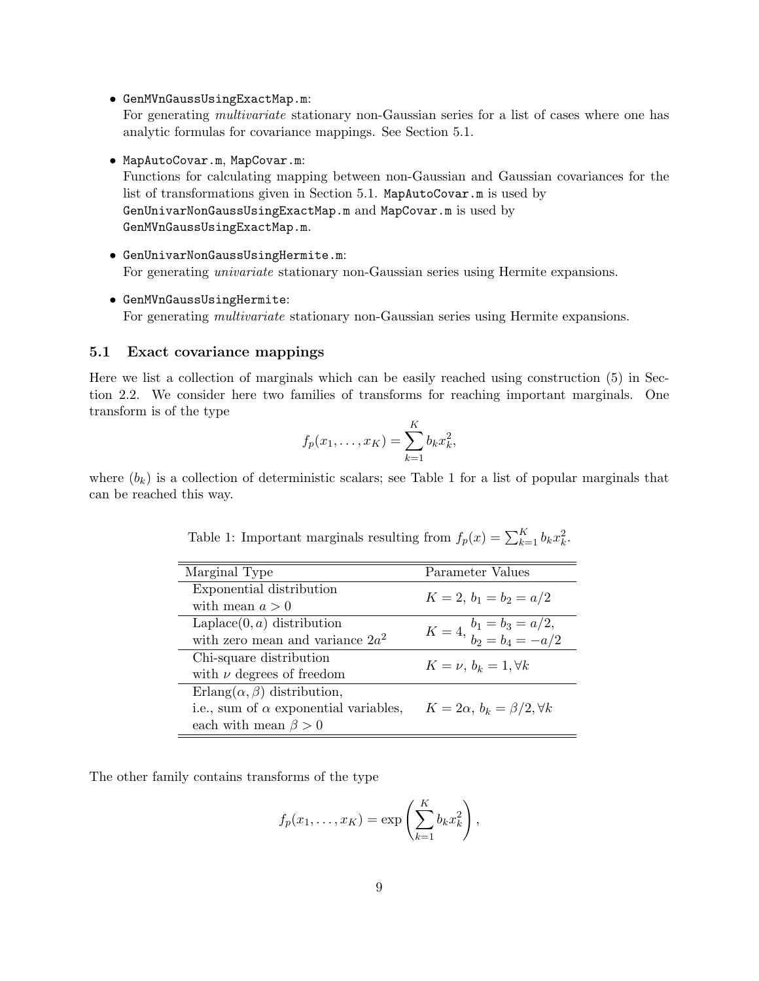• GenMVnGaussUsingExactMap.m:

For generating *multivariate* stationary non-Gaussian series for a list of cases where one has analytic formulas for covariance mappings. See Section 5.1.

• MapAutoCovar.m, MapCovar.m:

Functions for calculating mapping between non-Gaussian and Gaussian covariances for the list of transformations given in Section 5.1. MapAutoCovar.m is used by GenUnivarNonGaussUsingExactMap.m and MapCovar.m is used by GenMVnGaussUsingExactMap.m.

- GenUnivarNonGaussUsingHermite.m: For generating univariate stationary non-Gaussian series using Hermite expansions.
- GenMVnGaussUsingHermite: For generating *multivariate* stationary non-Gaussian series using Hermite expansions.

#### 5.1 Exact covariance mappings

Here we list a collection of marginals which can be easily reached using construction (5) in Section 2.2. We consider here two families of transforms for reaching important marginals. One transform is of the type

$$
f_p(x_1,...,x_K) = \sum_{k=1}^K b_k x_k^2,
$$

where  $(b_k)$  is a collection of deterministic scalars; see Table 1 for a list of popular marginals that can be reached this way.

| Marginal Type                                | Parameter Values                                  |  |
|----------------------------------------------|---------------------------------------------------|--|
| Exponential distribution                     | $K = 2, b_1 = b_2 = a/2$                          |  |
| with mean $a > 0$                            |                                                   |  |
| Laplace $(0, a)$ distribution                | $K = 4, \frac{b_1 = b_3 = a/2}{b_2 = b_4 = -a/2}$ |  |
| with zero mean and variance $2a^2$           |                                                   |  |
| Chi-square distribution                      |                                                   |  |
| with $\nu$ degrees of freedom                | $K=\nu, b_k=1, \forall k$                         |  |
| Erlang $(\alpha, \beta)$ distribution,       |                                                   |  |
| i.e., sum of $\alpha$ exponential variables, | $K=2\alpha, b_k=\beta/2, \forall k$               |  |
| each with mean $\beta > 0$                   |                                                   |  |

Table 1: Important marginals resulting from  $f_p(x) = \sum_{k=1}^{K} b_k x_k^2$ .

The other family contains transforms of the type

$$
f_p(x_1,\ldots,x_K) = \exp\left(\sum_{k=1}^K b_k x_k^2\right),\,
$$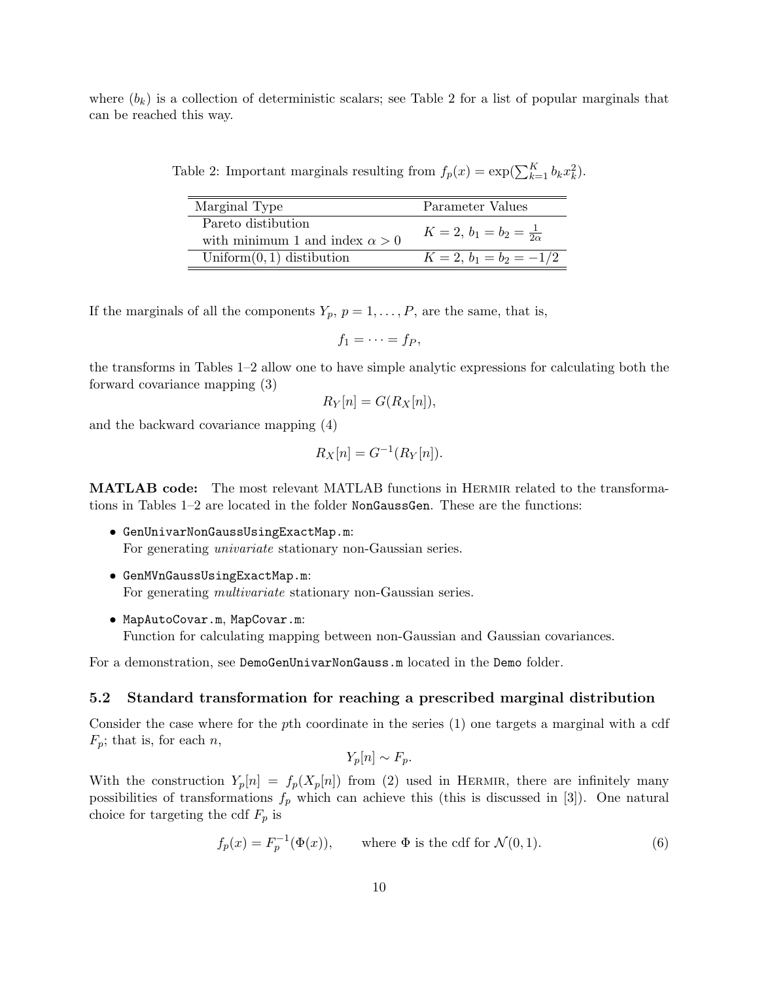where  $(b_k)$  is a collection of deterministic scalars; see Table 2 for a list of popular marginals that can be reached this way.

Table 2: Important marginals resulting from  $f_p(x) = \exp(\sum_{k=1}^K b_k x_k^2)$ .

| Marginal Type                                               | Parameter Values                 |
|-------------------------------------------------------------|----------------------------------|
| Pareto distibution<br>with minimum 1 and index $\alpha > 0$ | $K=2, b_1=b_2=\frac{1}{2\alpha}$ |
| Uniform $(0, 1)$ distibution                                | $K = 2, b_1 = b_2 = -1/2$        |

If the marginals of all the components  $Y_p$ ,  $p = 1, \ldots, P$ , are the same, that is,

$$
f_1=\cdots=f_P,
$$

the transforms in Tables 1–2 allow one to have simple analytic expressions for calculating both the forward covariance mapping (3)

$$
R_Y[n] = G(R_X[n]),
$$

and the backward covariance mapping (4)

$$
R_X[n] = G^{-1}(R_Y[n]).
$$

MATLAB code: The most relevant MATLAB functions in Hermir related to the transformations in Tables 1–2 are located in the folder NonGaussGen. These are the functions:

- GenUnivarNonGaussUsingExactMap.m: For generating *univariate* stationary non-Gaussian series.
- GenMVnGaussUsingExactMap.m: For generating multivariate stationary non-Gaussian series.
- MapAutoCovar.m, MapCovar.m: Function for calculating mapping between non-Gaussian and Gaussian covariances.

For a demonstration, see DemoGenUnivarNonGauss.m located in the Demo folder.

#### 5.2 Standard transformation for reaching a prescribed marginal distribution

Consider the case where for the pth coordinate in the series (1) one targets a marginal with a cdf  $F_p$ ; that is, for each n,

 $Y_p[n] \sim F_p$ .

With the construction  $Y_p[n] = f_p(X_p[n])$  from (2) used in HERMIR, there are infinitely many possibilities of transformations  $f_p$  which can achieve this (this is discussed in [3]). One natural choice for targeting the cdf  $F_p$  is

$$
f_p(x) = F_p^{-1}(\Phi(x)), \qquad \text{where } \Phi \text{ is the cdf for } \mathcal{N}(0,1). \tag{6}
$$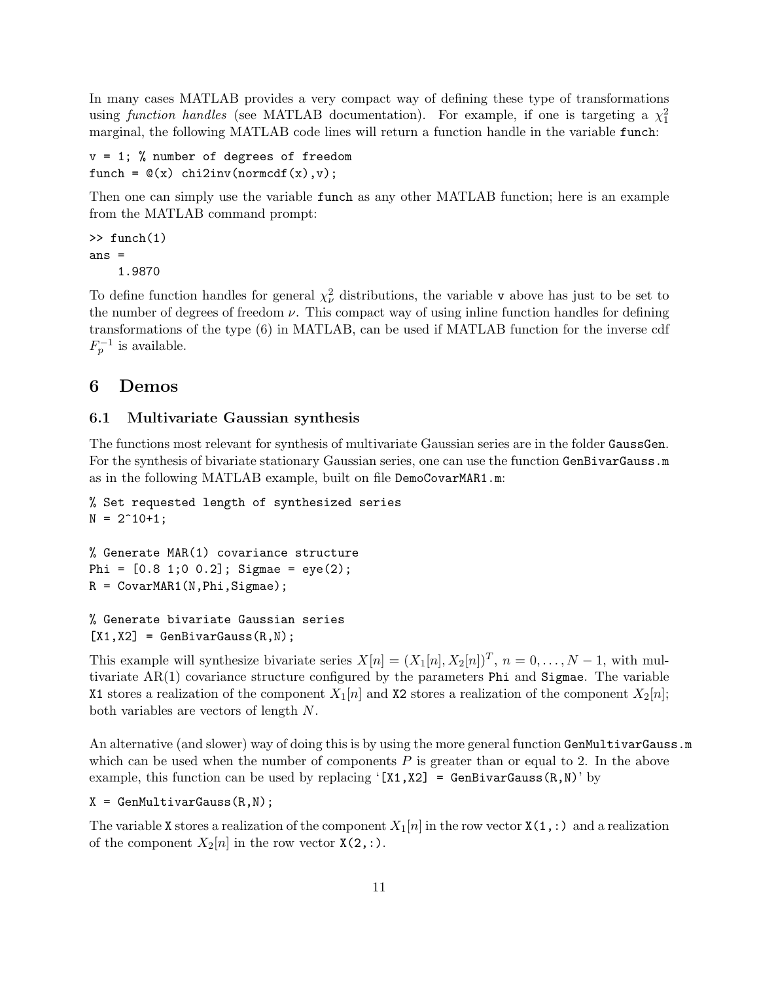In many cases MATLAB provides a very compact way of defining these type of transformations using function handles (see MATLAB documentation). For example, if one is targeting a  $\chi_1^2$ marginal, the following MATLAB code lines will return a function handle in the variable funch:

```
v = 1; % number of degrees of freedom
funch = \mathcal{Q}(x) chi2inv(normcdf(x),v);
```
Then one can simply use the variable funch as any other MATLAB function; here is an example from the MATLAB command prompt:

 $\gg$  funch $(1)$ ans = 1.9870

To define function handles for general  $\chi^2_{\nu}$  distributions, the variable v above has just to be set to the number of degrees of freedom  $\nu$ . This compact way of using inline function handles for defining transformations of the type (6) in MATLAB, can be used if MATLAB function for the inverse cdf  $F_p^{-1}$  is available.

## 6 Demos

#### 6.1 Multivariate Gaussian synthesis

The functions most relevant for synthesis of multivariate Gaussian series are in the folder GaussGen. For the synthesis of bivariate stationary Gaussian series, one can use the function GenBivarGauss.m as in the following MATLAB example, built on file DemoCovarMAR1.m:

```
% Set requested length of synthesized series
N = 2^10+1;
```

```
% Generate MAR(1) covariance structure
Phi = [0.8 1; 0 0.2]; Sigmae = eye(2);
R = CovarMAR1(N,Phi,Sigmae);
```

```
% Generate bivariate Gaussian series
[X1, X2] = GenBivarGauss(R,N);
```
This example will synthesize bivariate series  $X[n] = (X_1[n], X_2[n])^T$ ,  $n = 0, \ldots, N-1$ , with multivariate AR(1) covariance structure configured by the parameters Phi and Sigmae. The variable X1 stores a realization of the component  $X_1[n]$  and X2 stores a realization of the component  $X_2[n]$ ; both variables are vectors of length N.

An alternative (and slower) way of doing this is by using the more general function GenMultivarGauss.m which can be used when the number of components  $P$  is greater than or equal to 2. In the above example, this function can be used by replacing '[X1,X2] = GenBivarGauss $(R, N)$ ' by

 $X = \text{GenMultivarGauss}(R,N);$ 

The variable X stores a realization of the component  $X_1[n]$  in the row vector  $X(1,:)$  and a realization of the component  $X_2[n]$  in the row vector  $X(2,:)$ .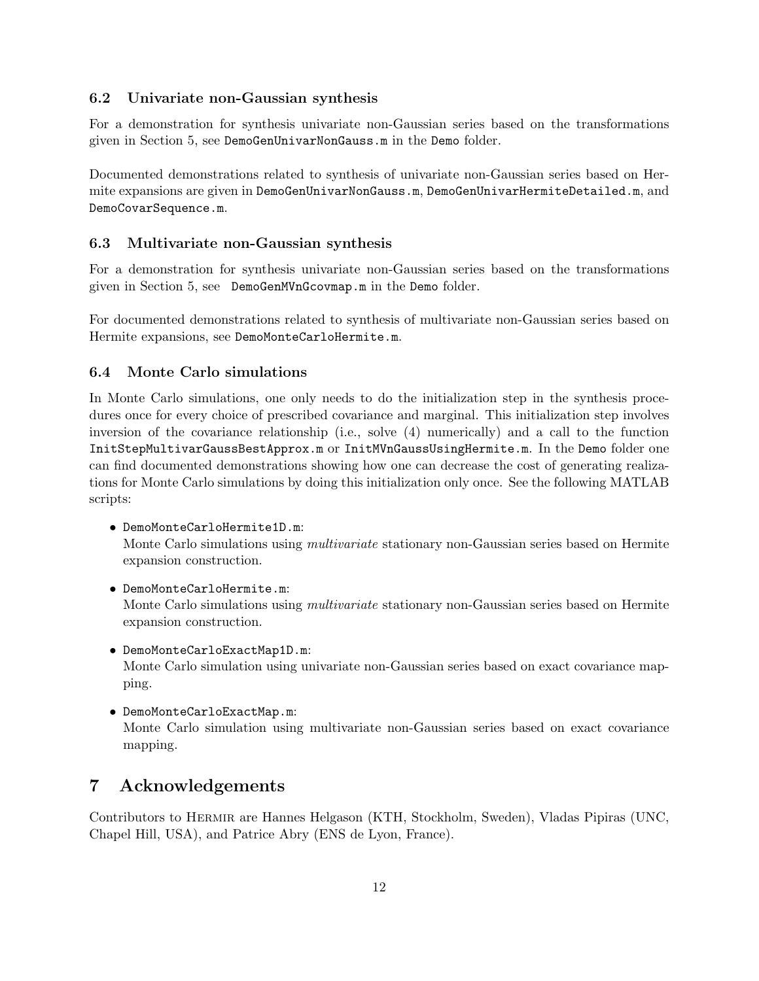### 6.2 Univariate non-Gaussian synthesis

For a demonstration for synthesis univariate non-Gaussian series based on the transformations given in Section 5, see DemoGenUnivarNonGauss.m in the Demo folder.

Documented demonstrations related to synthesis of univariate non-Gaussian series based on Hermite expansions are given in DemoGenUnivarNonGauss.m, DemoGenUnivarHermiteDetailed.m, and DemoCovarSequence.m.

### 6.3 Multivariate non-Gaussian synthesis

For a demonstration for synthesis univariate non-Gaussian series based on the transformations given in Section 5, see DemoGenMVnGcovmap.m in the Demo folder.

For documented demonstrations related to synthesis of multivariate non-Gaussian series based on Hermite expansions, see DemoMonteCarloHermite.m.

### 6.4 Monte Carlo simulations

In Monte Carlo simulations, one only needs to do the initialization step in the synthesis procedures once for every choice of prescribed covariance and marginal. This initialization step involves inversion of the covariance relationship (i.e., solve (4) numerically) and a call to the function InitStepMultivarGaussBestApprox.m or InitMVnGaussUsingHermite.m. In the Demo folder one can find documented demonstrations showing how one can decrease the cost of generating realizations for Monte Carlo simulations by doing this initialization only once. See the following MATLAB scripts:

• DemoMonteCarloHermite1D.m:

Monte Carlo simulations using *multivariate* stationary non-Gaussian series based on Hermite expansion construction.

• DemoMonteCarloHermite.m:

Monte Carlo simulations using *multivariate* stationary non-Gaussian series based on Hermite expansion construction.

- DemoMonteCarloExactMap1D.m: Monte Carlo simulation using univariate non-Gaussian series based on exact covariance mapping.
- DemoMonteCarloExactMap.m: Monte Carlo simulation using multivariate non-Gaussian series based on exact covariance mapping.

# 7 Acknowledgements

Contributors to Hermir are Hannes Helgason (KTH, Stockholm, Sweden), Vladas Pipiras (UNC, Chapel Hill, USA), and Patrice Abry (ENS de Lyon, France).